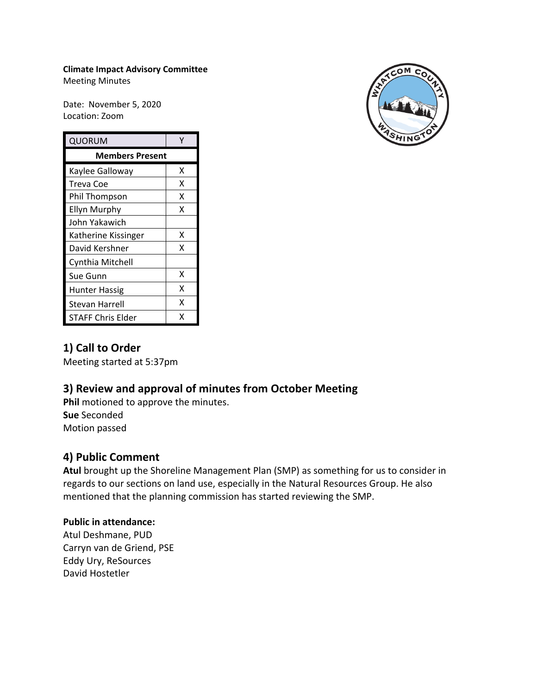#### **Climate Impact Advisory Committee**

Meeting Minutes

Date: November 5, 2020 Location: Zoom

| QUORUM                 |   |
|------------------------|---|
| <b>Members Present</b> |   |
| Kaylee Galloway        | x |
| Treva Coe              | x |
| Phil Thompson          | Χ |
| Ellyn Murphy           | x |
| John Yakawich          |   |
| Katherine Kissinger    | x |
| David Kershner         | x |
| Cynthia Mitchell       |   |
| Sue Gunn               | x |
| <b>Hunter Hassig</b>   | X |
| Stevan Harrell         | X |
| STAFF Chris Elder      | x |



## **1) Call to Order**

Meeting started at 5:37pm

# **3) Review and approval of minutes from October Meeting**

**Phil** motioned to approve the minutes. **Sue** Seconded Motion passed

## **4) Public Comment**

**Atul** brought up the Shoreline Management Plan (SMP) as something for us to consider in regards to our sections on land use, especially in the Natural Resources Group. He also mentioned that the planning commission has started reviewing the SMP.

#### **Public in attendance:**

Atul Deshmane, PUD Carryn van de Griend, PSE Eddy Ury, ReSources David Hostetler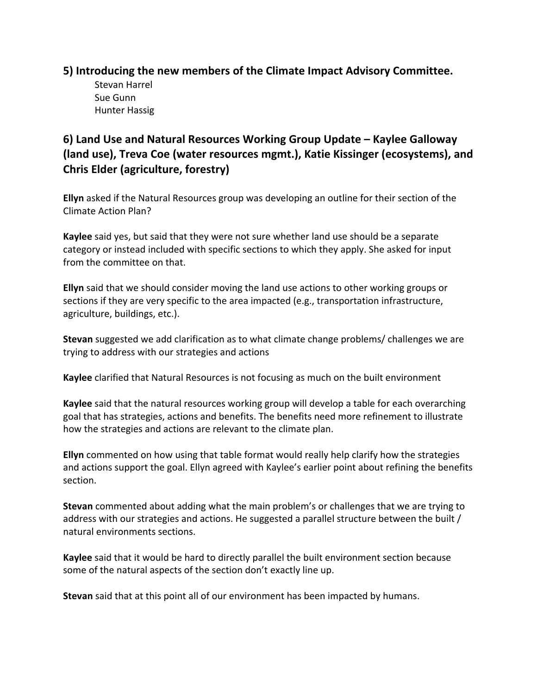### **5) Introducing the new members of the Climate Impact Advisory Committee.**

Stevan Harrel Sue Gunn Hunter Hassig

# **6) Land Use and Natural Resources Working Group Update – Kaylee Galloway (land use), Treva Coe (water resources mgmt.), Katie Kissinger (ecosystems), and Chris Elder (agriculture, forestry)**

**Ellyn** asked if the Natural Resources group was developing an outline for their section of the Climate Action Plan?

**Kaylee** said yes, but said that they were not sure whether land use should be a separate category or instead included with specific sections to which they apply. She asked for input from the committee on that.

**Ellyn** said that we should consider moving the land use actions to other working groups or sections if they are very specific to the area impacted (e.g., transportation infrastructure, agriculture, buildings, etc.).

**Stevan** suggested we add clarification as to what climate change problems/ challenges we are trying to address with our strategies and actions

**Kaylee** clarified that Natural Resources is not focusing as much on the built environment

**Kaylee** said that the natural resources working group will develop a table for each overarching goal that has strategies, actions and benefits. The benefits need more refinement to illustrate how the strategies and actions are relevant to the climate plan.

**Ellyn** commented on how using that table format would really help clarify how the strategies and actions support the goal. Ellyn agreed with Kaylee's earlier point about refining the benefits section.

**Stevan** commented about adding what the main problem's or challenges that we are trying to address with our strategies and actions. He suggested a parallel structure between the built / natural environments sections.

**Kaylee** said that it would be hard to directly parallel the built environment section because some of the natural aspects of the section don't exactly line up.

**Stevan** said that at this point all of our environment has been impacted by humans.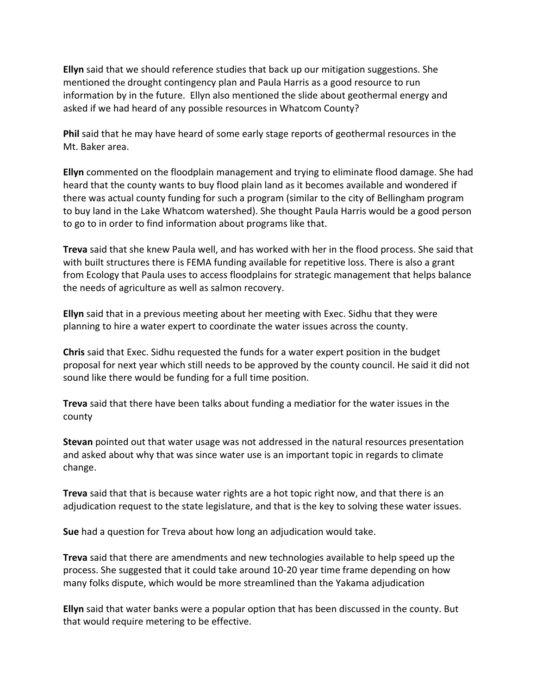**Ellyn** said that we should reference studies that back up our mitigation suggestions. She mentioned the drought contingency plan and Paula Harris as a good resource to run information by in the future. Ellyn also mentioned the slide about geothermal energy and asked if we had heard of any possible resources in Whatcom County?

**Phil** said that he may have heard of some early stage reports of geothermal resources in the Mt. Baker area.

**Ellyn** commented on the floodplain management and trying to eliminate flood damage. She had heard that the county wants to buy flood plain land as it becomes available and wondered if there was actual county funding for such a program (similar to the city of Bellingham program to buy land in the Lake Whatcom watershed). She thought Paula Harris would be a good person to go to in order to find information about programs like that.

**Treva** said that she knew Paula well, and has worked with her in the flood process. She said that with built structures there is FEMA funding available for repetitive loss. There is also a grant from Ecology that Paula uses to access floodplains for strategic management that helps balance the needs of agriculture as well as salmon recovery.

**Ellyn** said that in a previous meeting about her meeting with Exec. Sidhu that they were planning to hire a water expert to coordinate the water issues across the county.

**Chris** said that Exec. Sidhu requested the funds for a water expert position in the budget proposal for next year which still needs to be approved by the county council. He said it did not sound like there would be funding for a full time position.

**Treva** said that there have been talks about funding a mediatior for the water issues in the county

**Stevan** pointed out that water usage was not addressed in the natural resources presentation and asked about why that was since water use is an important topic in regards to climate change.

**Treva** said that that is because water rights are a hot topic right now, and that there is an adjudication request to the state legislature, and that is the key to solving these water issues.

**Sue** had a question for Treva about how long an adjudication would take.

**Treva** said that there are amendments and new technologies available to help speed up the process. She suggested that it could take around 10-20 year time frame depending on how many folks dispute, which would be more streamlined than the Yakama adjudication

**Ellyn** said that water banks were a popular option that has been discussed in the county. But that would require metering to be effective.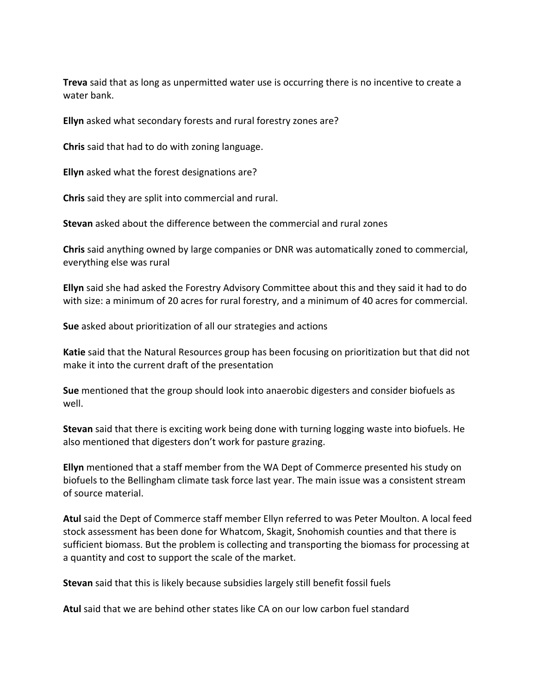**Treva** said that as long as unpermitted water use is occurring there is no incentive to create a water bank.

**Ellyn** asked what secondary forests and rural forestry zones are?

**Chris** said that had to do with zoning language.

**Ellyn** asked what the forest designations are?

**Chris** said they are split into commercial and rural.

**Stevan** asked about the difference between the commercial and rural zones

**Chris** said anything owned by large companies or DNR was automatically zoned to commercial, everything else was rural

**Ellyn** said she had asked the Forestry Advisory Committee about this and they said it had to do with size: a minimum of 20 acres for rural forestry, and a minimum of 40 acres for commercial.

**Sue** asked about prioritization of all our strategies and actions

**Katie** said that the Natural Resources group has been focusing on prioritization but that did not make it into the current draft of the presentation

**Sue** mentioned that the group should look into anaerobic digesters and consider biofuels as well.

**Stevan** said that there is exciting work being done with turning logging waste into biofuels. He also mentioned that digesters don't work for pasture grazing.

**Ellyn** mentioned that a staff member from the WA Dept of Commerce presented his study on biofuels to the Bellingham climate task force last year. The main issue was a consistent stream of source material.

**Atul** said the Dept of Commerce staff member Ellyn referred to was Peter Moulton. A local feed stock assessment has been done for Whatcom, Skagit, Snohomish counties and that there is sufficient biomass. But the problem is collecting and transporting the biomass for processing at a quantity and cost to support the scale of the market.

**Stevan** said that this is likely because subsidies largely still benefit fossil fuels

**Atul** said that we are behind other states like CA on our low carbon fuel standard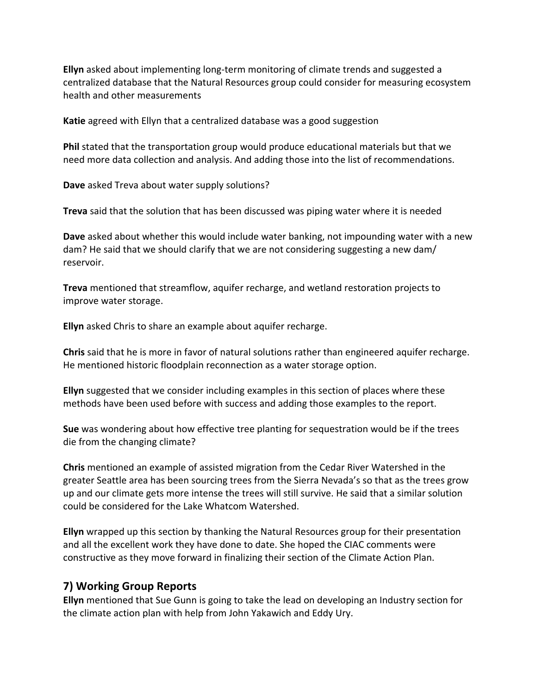**Ellyn** asked about implementing long-term monitoring of climate trends and suggested a centralized database that the Natural Resources group could consider for measuring ecosystem health and other measurements

**Katie** agreed with Ellyn that a centralized database was a good suggestion

**Phil** stated that the transportation group would produce educational materials but that we need more data collection and analysis. And adding those into the list of recommendations.

**Dave** asked Treva about water supply solutions?

**Treva** said that the solution that has been discussed was piping water where it is needed

**Dave** asked about whether this would include water banking, not impounding water with a new dam? He said that we should clarify that we are not considering suggesting a new dam/ reservoir.

**Treva** mentioned that streamflow, aquifer recharge, and wetland restoration projects to improve water storage.

**Ellyn** asked Chris to share an example about aquifer recharge.

**Chris** said that he is more in favor of natural solutions rather than engineered aquifer recharge. He mentioned historic floodplain reconnection as a water storage option.

**Ellyn** suggested that we consider including examples in this section of places where these methods have been used before with success and adding those examples to the report.

**Sue** was wondering about how effective tree planting for sequestration would be if the trees die from the changing climate?

**Chris** mentioned an example of assisted migration from the Cedar River Watershed in the greater Seattle area has been sourcing trees from the Sierra Nevada's so that as the trees grow up and our climate gets more intense the trees will still survive. He said that a similar solution could be considered for the Lake Whatcom Watershed.

**Ellyn** wrapped up this section by thanking the Natural Resources group for their presentation and all the excellent work they have done to date. She hoped the CIAC comments were constructive as they move forward in finalizing their section of the Climate Action Plan.

#### **7) Working Group Reports**

**Ellyn** mentioned that Sue Gunn is going to take the lead on developing an Industry section for the climate action plan with help from John Yakawich and Eddy Ury.